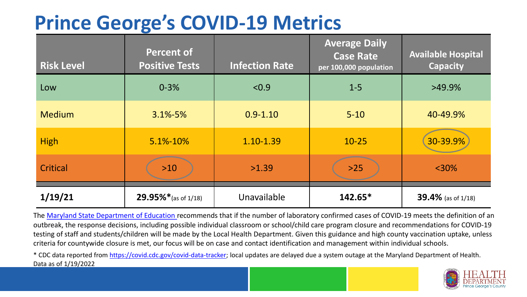## **Prince George's COVID-19 Metrics**

| <b>Risk Level</b> | <b>Percent of</b><br><b>Positive Tests</b> | <b>Infection Rate</b> | <b>Average Daily</b><br><b>Case Rate</b><br>per 100,000 population | <b>Available Hospital</b><br><b>Capacity</b> |
|-------------------|--------------------------------------------|-----------------------|--------------------------------------------------------------------|----------------------------------------------|
| Low               | $0 - 3%$                                   | < 0.9                 | $1 - 5$                                                            | $>49.9\%$                                    |
| <b>Medium</b>     | $3.1\% - 5\%$                              | $0.9 - 1.10$          | $5 - 10$                                                           | 40-49.9%                                     |
| <b>High</b>       | 5.1%-10%                                   | 1.10-1.39             | $10 - 25$                                                          | 30-39.9%                                     |
| Critical          | $>10$                                      | >1.39                 | $>25$                                                              | $<$ 30%                                      |
| 1/19/21           | 29.95%* (as of 1/18)                       | Unavailable           | $142.65*$                                                          | 39.4% (as of 1/18)                           |

The [Maryland State Department of Education](https://earlychildhood.marylandpublicschools.org/system/files/filedepot/3/covid_guidance_full_080420.pdf) recommends that if the number of laboratory confirmed cases of COVID-19 meets the definition of an outbreak, the response decisions, including possible individual classroom or school/child care program closure and recommendations for COVID-19 testing of staff and students/children will be made by the Local Health Department. Given this guidance and high county vaccination uptake, unless criteria for countywide closure is met, our focus will be on case and contact identification and management within individual schools.

\* CDC data reported from <https://covid.cdc.gov/covid-data-tracker>; local updates are delayed due a system outage at the Maryland Department of Health. Data as of 1/19/2022

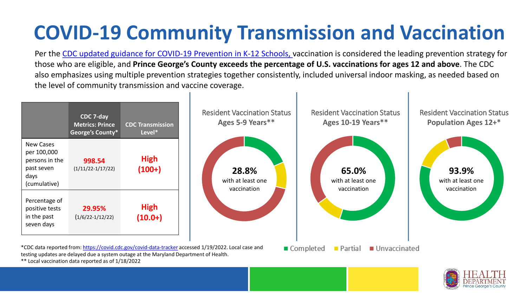## **COVID-19 Community Transmission and Vaccination**

Per the [CDC updated guidance for COVID-19 Prevention in K-12 Schools,](https://www.cdc.gov/coronavirus/2019-ncov/community/schools-childcare/k-12-guidance.html) vaccination is considered the leading prevention strategy for those who are eligible, and **Prince George's County exceeds the percentage of U.S. vaccinations for ages 12 and above**. The CDC also emphasizes using multiple prevention strategies together consistently, included universal indoor masking, as needed based on the level of community transmission and vaccine coverage.





\*\* Local vaccination data reported as of 1/18/2022